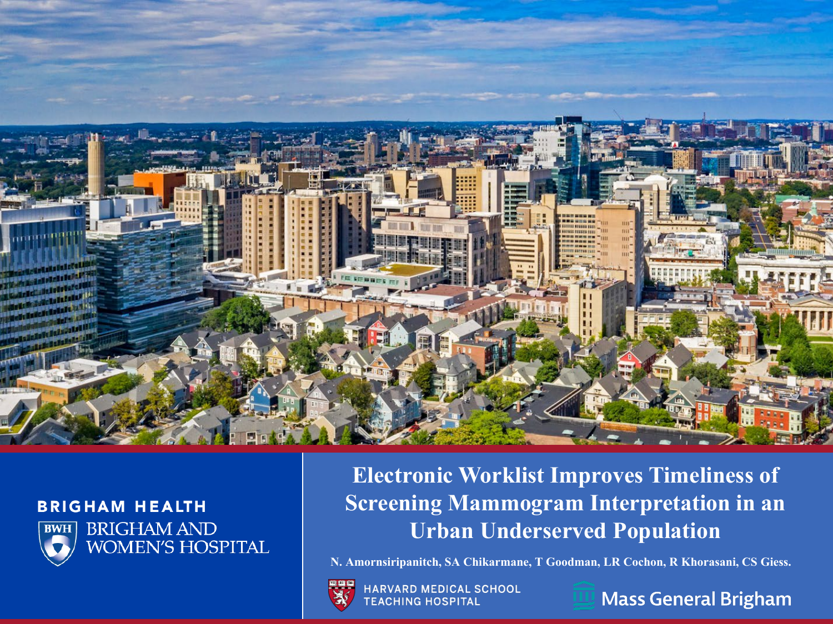

#### **BRIGHAM HEALTH**



**BRIGHAM AND WOMEN'S HOSPITAL** 

#### **Electronic Worklist Improves Timeliness of Screening Mammogram Interpretation in an Urban Underserved Population**

**N. Amornsiripanitch, SA Chikarmane, T Goodman, LR Cochon, R Khorasani, CS Giess.**



HARVARD MEDICAL SCHOOL **TEACHING HOSPITAL** 



**Mass General Brigham**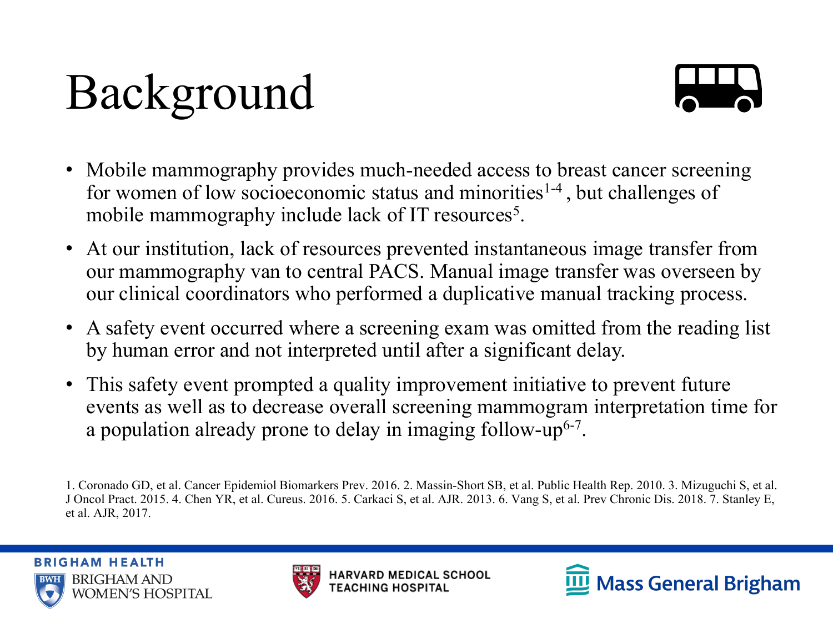## Background



- Mobile mammography provides much-needed access to breast cancer screening for women of low socioeconomic status and minorities<sup>1-4</sup>, but challenges of mobile mammography include lack of IT resources<sup>5</sup>.
- At our institution, lack of resources prevented instantaneous image transfer from our mammography van to central PACS. Manual image transfer was overseen by our clinical coordinators who performed a duplicative manual tracking process.
- A safety event occurred where a screening exam was omitted from the reading list by human error and not interpreted until after a significant delay.
- This safety event prompted a quality improvement initiative to prevent future events as well as to decrease overall screening mammogram interpretation time for a population already prone to delay in imaging follow-up6-7.





<sup>1.</sup> Coronado GD, et al. Cancer Epidemiol Biomarkers Prev. 2016. 2. Massin-Short SB, et al. Public Health Rep. 2010. 3. Mizuguchi S, et al. J Oncol Pract. 2015. 4. Chen YR, et al. Cureus. 2016. 5. Carkaci S, et al. AJR. 2013. 6. Vang S, et al. Prev Chronic Dis. 2018. 7. Stanley E, et al. AJR, 2017.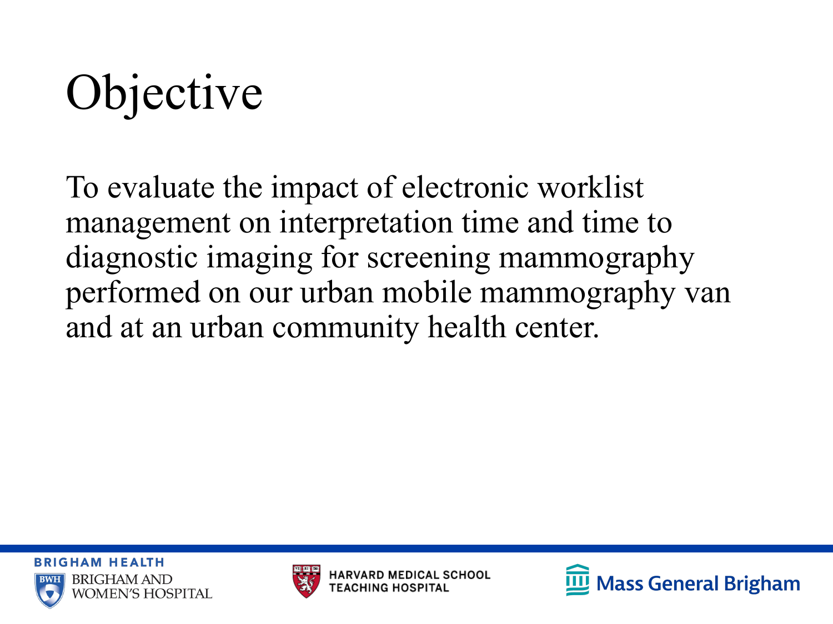# **Objective**

To evaluate the impact of electronic worklist management on interpretation time and time to diagnostic imaging for screening mammography performed on our urban mobile mammography van and at an urban community health center.





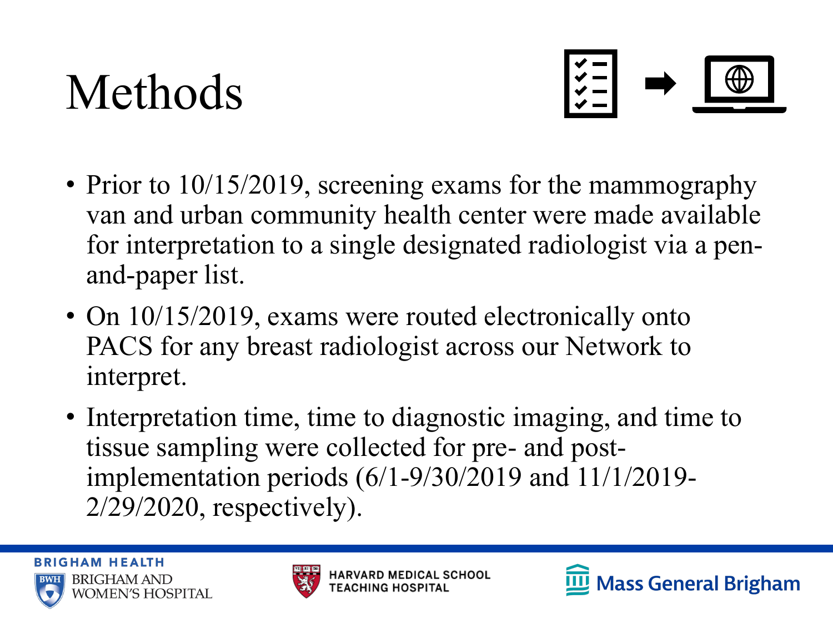#### Methods



- Prior to 10/15/2019, screening exams for the mammography van and urban community health center were made available for interpretation to a single designated radiologist via a penand-paper list.
- On 10/15/2019, exams were routed electronically onto PACS for any breast radiologist across our Network to interpret.
- Interpretation time, time to diagnostic imaging, and time to tissue sampling were collected for pre- and postimplementation periods (6/1-9/30/2019 and 11/1/2019- 2/29/2020, respectively).



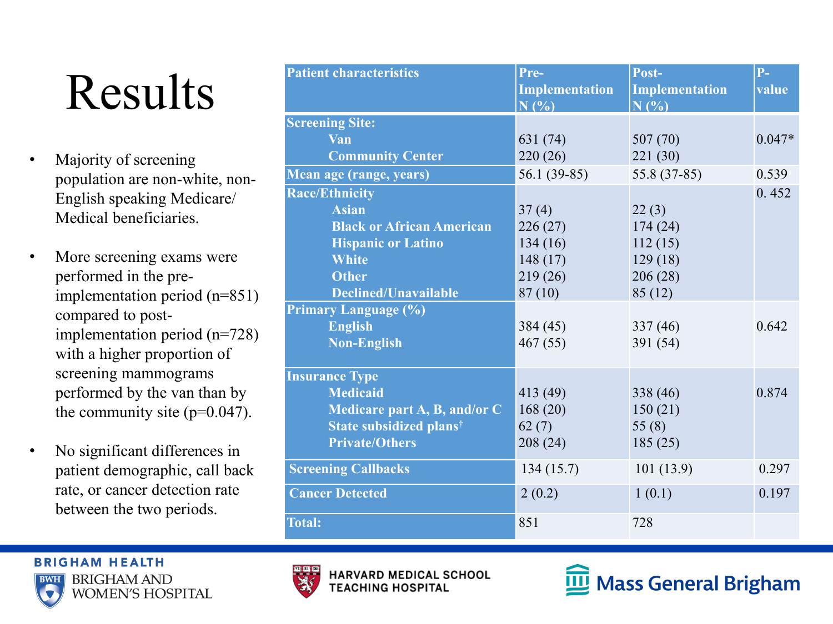### Results

- Majority of screening population are non-white, non-English speaking Medicare/ Medical beneficiaries.
- More screening exams were performed in the preimplementation period (n=851) compared to postimplementation period (n=728) with a higher proportion of screening mammograms performed by the van than by the community site  $(p=0.047)$ .
- No significant differences in patient demographic, call back rate, or cancer detection rate between the two periods.

| <b>Patient characteristics</b>   | Pre-<br><b>Implementation</b><br>N(%) | Post-<br>Implementation<br>$N($ %) | $P-$<br>value |
|----------------------------------|---------------------------------------|------------------------------------|---------------|
| <b>Screening Site:</b>           |                                       |                                    |               |
| Van                              | 631 (74)                              | 507(70)                            | $0.047*$      |
| <b>Community Center</b>          | 220(26)                               | 221(30)                            |               |
| Mean age (range, years)          | $56.1(39-85)$                         | 55.8 (37-85)                       | 0.539         |
| <b>Race/Ethnicity</b>            |                                       |                                    | 0.452         |
| <b>Asian</b>                     | 37(4)                                 | 22(3)                              |               |
| <b>Black or African American</b> | 226(27)                               | 174(24)                            |               |
| <b>Hispanic or Latino</b>        | 134(16)                               | 112(15)                            |               |
| <b>White</b>                     | 148(17)                               | 129(18)                            |               |
| <b>Other</b>                     | 219(26)                               | 206(28)                            |               |
| <b>Declined/Unavailable</b>      | 87(10)                                | 85(12)                             |               |
| <b>Primary Language (%)</b>      |                                       |                                    |               |
| <b>English</b>                   | 384(45)                               | 337(46)                            | 0.642         |
| <b>Non-English</b>               | 467(55)                               | 391 (54)                           |               |
| <b>Insurance Type</b>            |                                       |                                    |               |
| <b>Medicaid</b>                  | 413 (49)                              | 338 (46)                           | 0.874         |
| Medicare part A, B, and/or C     | 168(20)                               | 150(21)                            |               |
| <b>State subsidized planst</b>   | 62(7)                                 | 55 $(8)$                           |               |
| <b>Private/Others</b>            | 208(24)                               | 185(25)                            |               |
| <b>Screening Callbacks</b>       | 134(15.7)                             | 101(13.9)                          | 0.297         |
| <b>Cancer Detected</b>           | 2(0.2)                                | 1(0.1)                             | 0.197         |
| <b>Total:</b>                    | 851                                   | 728                                |               |





**HARVARD MEDICAL SCHOOL TEACHING HOSPITAL** 

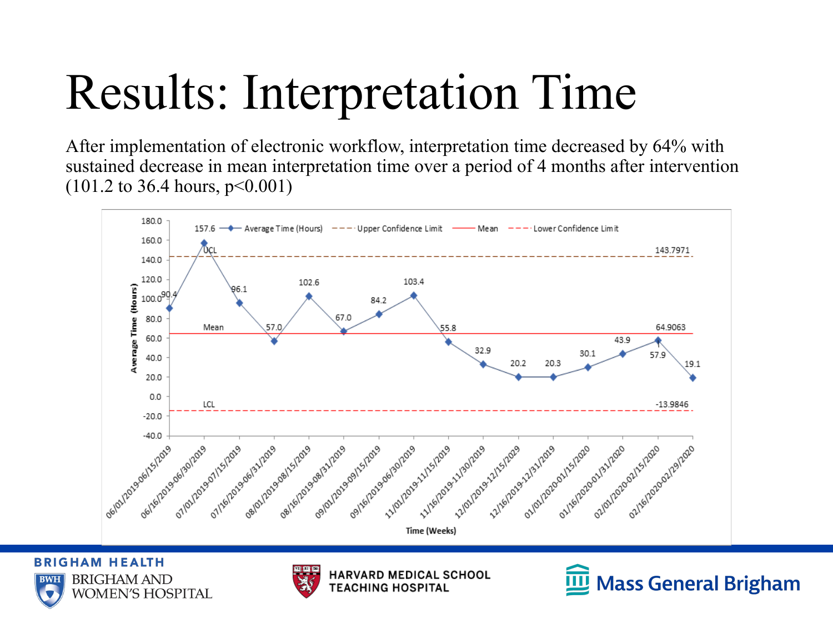## Results: Interpretation Time

After implementation of electronic workflow, interpretation time decreased by 64% with sustained decrease in mean interpretation time over a period of 4 months after intervention (101.2 to 36.4 hours, p<0.001)



**BRIGHAM HEALTH BRIGHAM AND BWH WOMEN'S HOSPITAL** 



**HARVARD MEDICAL SCHOOL TEACHING HOSPITAL** 

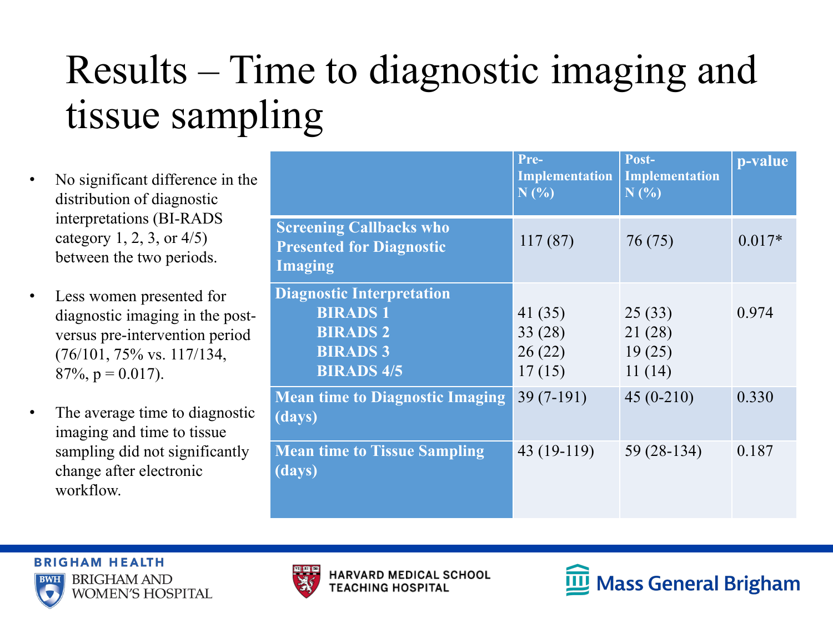#### Results – Time to diagnostic imaging and tissue sampling

- No significant difference in the distribution of diagnostic interpretations (BI-RADS category 1, 2, 3, or 4/5) between the two periods.
- Less women presented for diagnostic imaging in the postversus pre-intervention period (76/101, 75% vs. 117/134,  $87\%, p = 0.017$ .
- The average time to diagnostic imaging and time to tissue sampling did not significantly change after electronic workflow.

|                                                                                                               | Pre-<br><b>Implementation</b><br>N(%) | Post-<br><b>Implementation</b><br>N(%) | p-value  |
|---------------------------------------------------------------------------------------------------------------|---------------------------------------|----------------------------------------|----------|
| <b>Screening Callbacks who</b><br><b>Presented for Diagnostic</b><br><b>Imaging</b>                           | 117(87)                               | 76 (75)                                | $0.017*$ |
| <b>Diagnostic Interpretation</b><br><b>BIRADS1</b><br><b>BIRADS 2</b><br><b>BIRADS 3</b><br><b>BIRADS 4/5</b> | 41(35)<br>33(28)<br>26(22)<br>17(15)  | 25(33)<br>21(28)<br>19(25)<br>11(14)   | 0.974    |
| <b>Mean time to Diagnostic Imaging</b><br>(days)                                                              | $39(7-191)$                           | $45(0-210)$                            | 0.330    |
| <b>Mean time to Tissue Sampling</b><br>(days)                                                                 | 43 (19-119)                           | 59 (28-134)                            | 0.187    |





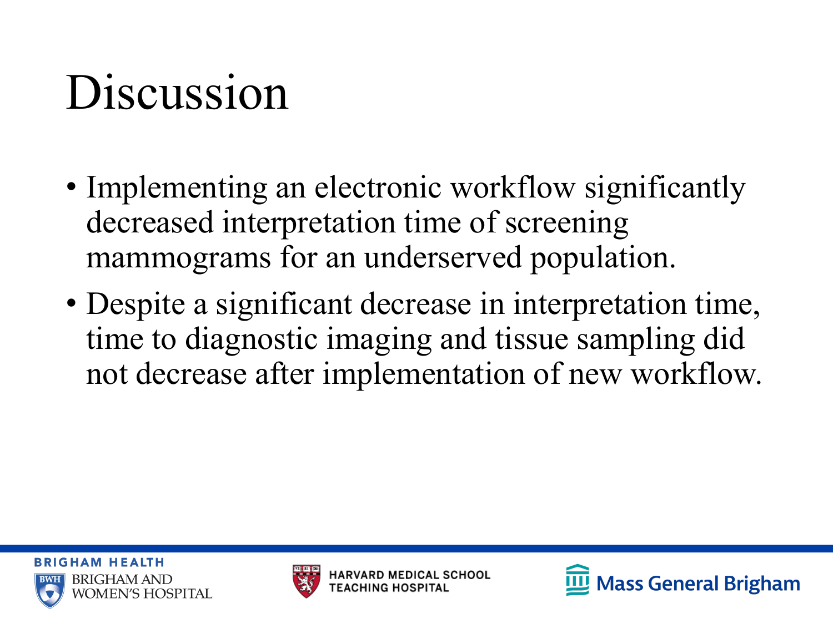#### Discussion

- Implementing an electronic workflow significantly decreased interpretation time of screening mammograms for an underserved population.
- Despite a significant decrease in interpretation time, time to diagnostic imaging and tissue sampling did not decrease after implementation of new workflow.





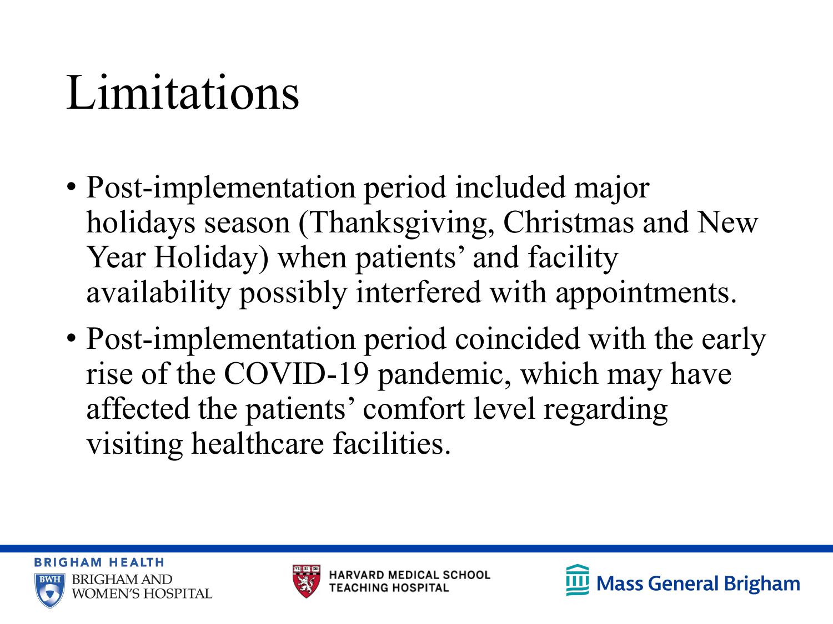#### Limitations

- Post-implementation period included major holidays season (Thanksgiving, Christmas and New Year Holiday) when patients' and facility availability possibly interfered with appointments.
- Post-implementation period coincided with the early rise of the COVID-19 pandemic, which may have affected the patients' comfort level regarding visiting healthcare facilities.